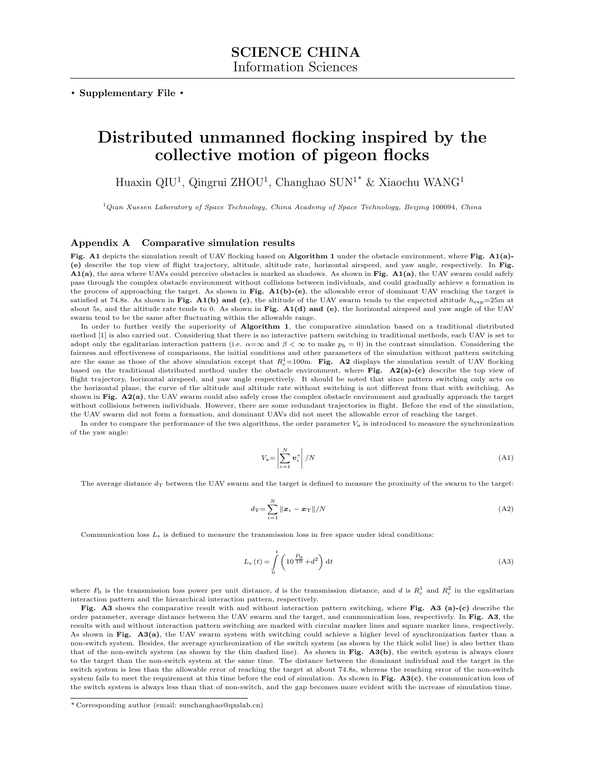**. Supplementary File .**

## **Distributed unmanned flocking inspired by the collective motion of pigeon flocks**

Huaxin QIU<sup>1</sup>, Qingrui ZHOU<sup>1</sup>, Changhao SUN<sup>1\*</sup> & Xiaochu WANG<sup>1</sup>

<sup>1</sup>*Qian Xuesen Laboratory of Space Technology, China Academy of Space Technology, Beijing* 100094*, China*

## **Appendix A Comparative simulation results**

**Fig. A1** depicts the simulation result of UAV flocking based on **Algorithm 1** under the obstacle environment, where **Fig. A1(a)- (e)** describe the top view of flight trajectory, altitude, altitude rate, horizontal airspeed, and yaw angle, respectively. In **Fig. A1(a)**, the area where UAVs could perceive obstacles is marked as shadows. As shown in **Fig. A1(a)**, the UAV swarm could safely pass through the complex obstacle environment without collisions between individuals, and could gradually achieve a formation in the process of approaching the target. As shown in **Fig. A1(b)-(e)**, the allowable error of dominant UAV reaching the target is satisfied at 74.8s. As shown in **Fig. A1(b) and (c)**, the altitude of the UAV swarm tends to the expected altitude  $h_{\text{exp}}=25\text{m}$  at about 5s, and the altitude rate tends to 0. As shown in **Fig. A1(d) and (e)**, the horizontal airspeed and yaw angle of the UAV swarm tend to be the same after fluctuating within the allowable range.

In order to further verify the superiority of **Algorithm 1**, the comparative simulation based on a traditional distributed method [1] is also carried out. Considering that there is no interactive pattern switching in traditional methods, each UAV is set to adopt only the egalitarian interaction pattern (i.e.  $\alpha = \infty$  and  $\beta < \infty$  to make  $p_h = 0$ ) in the contrast simulation. Considering the fairness and effectiveness of comparisons, the initial conditions and other parameters of the simulation without pattern switching are the same as those of the above simulation except that  $R_c^1 = 100$ m. **Fig. A2** displays the simulation result of UAV flocking based on the traditional distributed method under the obstacle environment, where **Fig. A2(a)-(c)** describe the top view of flight trajectory, horizontal airspeed, and yaw angle respectively. It should be noted that since pattern switching only acts on the horizontal plane, the curve of the altitude and altitude rate without switching is not different from that with switching. As shown in **Fig. A2(a)**, the UAV swarm could also safely cross the complex obstacle environment and gradually approach the target without collisions between individuals. However, there are some redundant trajectories in flight. Before the end of the simulation, the UAV swarm did not form a formation, and dominant UAVs did not meet the allowable error of reaching the target.

In order to compare the performance of the two algorithms, the order parameter  $V_a$  is introduced to measure the synchronization of the yaw angle:

$$
V_{\rm a} = \left| \sum_{i=1}^{N} \boldsymbol{v}_i^* \right| / N \tag{A1}
$$

The average distance  $d<sub>T</sub>$  between the UAV swarm and the target is defined to measure the proximity of the swarm to the target:

$$
d_{\mathrm{T}} = \sum_{i=1}^{N} \|\boldsymbol{x}_i - \boldsymbol{x}_{\mathrm{T}}\|/N \tag{A2}
$$

Communication loss *L*<sup>s</sup> is defined to measure the transmission loss in free space under ideal conditions:

$$
L_{\rm s}(t) = \int_{0}^{t} \left(10^{\frac{P_0}{10}} + d^2\right) \mathrm{d}t\tag{A3}
$$

where  $P_0$  is the transmission loss power per unit distance, *d* is the transmission distance, and *d* is  $R_c^1$  and  $R_c^2$  in the egalitarian interaction pattern and the hierarchical interaction pattern, respectively.

**Fig. A3** shows the comparative result with and without interaction pattern switching, where **Fig. A3 (a)-(c)** describe the order parameter, average distance between the UAV swarm and the target, and communication loss, respectively. In **Fig. A3**, the results with and without interaction pattern switching are marked with circular marker lines and square marker lines, respectively. As shown in **Fig. A3(a)**, the UAV swarm system with switching could achieve a higher level of synchronization faster than a non-switch system. Besides, the average synchronization of the switch system (as shown by the thick solid line) is also better than that of the non-switch system (as shown by the thin dashed line). As shown in **Fig. A3(b)**, the switch system is always closer to the target than the non-switch system at the same time. The distance between the dominant individual and the target in the switch system is less than the allowable error of reaching the target at about 74.8s, whereas the reaching error of the non-switch system fails to meet the requirement at this time before the end of simulation. As shown in **Fig. A3(c)**, the communication loss of the switch system is always less than that of non-switch, and the gap becomes more evident with the increase of simulation time.

<sup>\*</sup> Corresponding author (email: sunchanghao@qxslab.cn)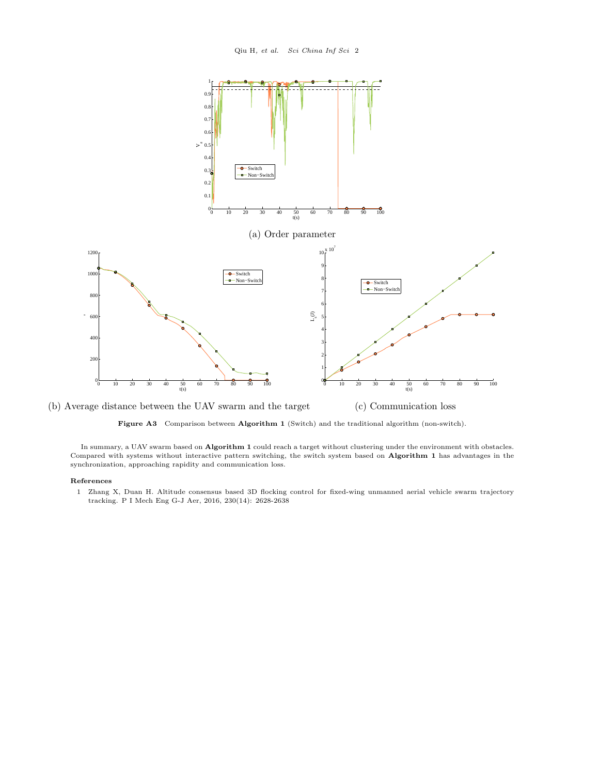

**Figure A3** Comparison between **Algorithm 1** (Switch) and the traditional algorithm (non-switch).

In summary, a UAV swarm based on **Algorithm 1** could reach a target without clustering under the environment with obstacles. Compared with systems without interactive pattern switching, the switch system based on **Algorithm 1** has advantages in the synchronization, approaching rapidity and communication loss.

## **References**

1 Zhang X, Duan H. Altitude consensus based 3D flocking control for fixed-wing unmanned aerial vehicle swarm trajectory tracking. P I Mech Eng G-J Aer, 2016, 230(14): 2628-2638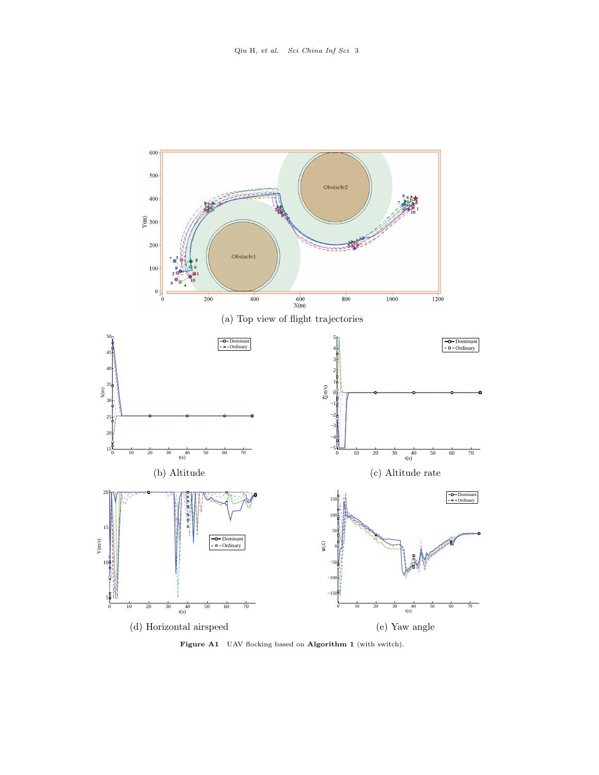

**Figure A1** UAV flocking based on **Algorithm 1** (with switch).